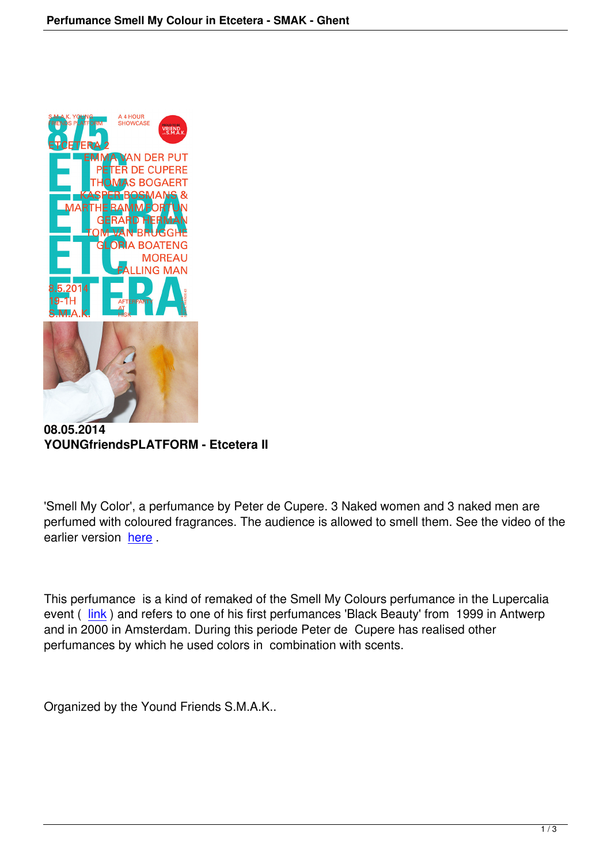

**08.05.2014 YOUNGfriendsPLATFORM - Etcetera II**

'Smell My Color', a perfumance by Peter de Cupere. 3 Naked women and 3 naked men are perfumed with coloured fragrances. The audience is allowed to smell them. See the video of the earlier version here .

This perfuman[ce is](index.php?option=com_content&view=article&id=139:perfumance-smell-my-colour&catid=5:new-works) a kind of remaked of the Smell My Colours perfumance in the Lupercalia event ( link ) and refers to one of his first perfumances 'Black Beauty' from 1999 in Antwerp and in 2000 in Amsterdam. During this periode Peter de Cupere has realised other perfumances by which he used colors in combination with scents.

Organized by the Yound Friends S.M.A.K..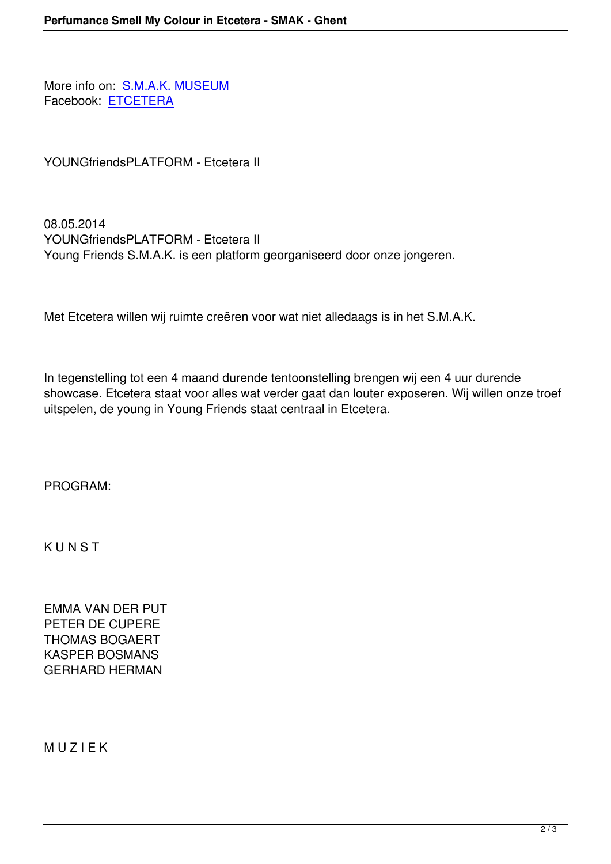More info on: S.M.A.K. MUSEUM Facebook: ETCETERA

YOUNGfrie[ndsPLATFO](https://www.facebook.com/events/553398271442820/?ref=ts&fref=ts)RM - Etcetera II

08.05.2014 YOUNGfriendsPLATFORM - Etcetera II Young Friends S.M.A.K. is een platform georganiseerd door onze jongeren.

Met Etcetera willen wij ruimte creëren voor wat niet alledaags is in het S.M.A.K.

In tegenstelling tot een 4 maand durende tentoonstelling brengen wij een 4 uur durende showcase. Etcetera staat voor alles wat verder gaat dan louter exposeren. Wij willen onze troef uitspelen, de young in Young Friends staat centraal in Etcetera.

PROGRAM:

**KUNST** 

EMMA VAN DER PUT PETER DE CUPERE THOMAS BOGAERT KASPER BOSMANS GERHARD HERMAN

MUZIFK